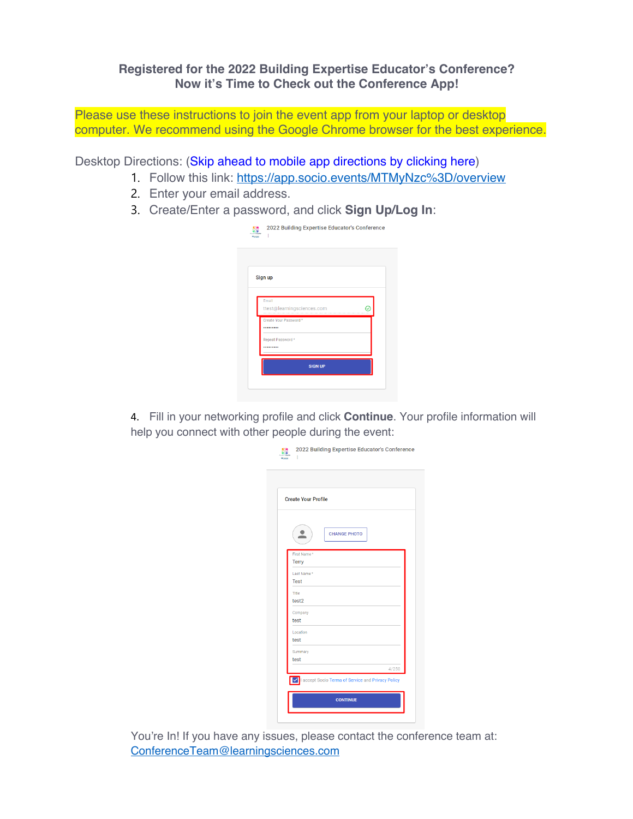## **Registered for the 2022 Building Expertise Educator's Conference? Now it's Time to Check out the Conference App!**

Please use these instructions to join the event app from your laptop or desktop computer. We recommend using the Google Chrome browser for the best experience.

Desktop Directions: (Skip ahead to mobile app directions by clicking here)

- 1. Follow this link: https://app.socio.events/MTMyNzc%3D/overview
- 2. Enter your email address.
- 3. Create/Enter a password, and click **Sign Up/Log In**:

| Sign up                             |
|-------------------------------------|
|                                     |
| Email<br>ttest@learningsciences.com |
| Create Your Password*               |
| Repeat Password*                    |

4. Fill in your networking profile and click **Continue**. Your profile information will help you connect with other people during the event:

| <b>Create Your Profile</b> |                     |
|----------------------------|---------------------|
|                            | <b>CHANGE PHOTO</b> |
| First Name*<br>Terry       |                     |
| Last Name*<br><b>Test</b>  |                     |
| Title<br>test2             |                     |
| Company<br>test            |                     |
| Location<br>test           |                     |
| Summary<br>test            |                     |
|                            | 4/250               |

You're In! If you have any issues, please contact the conference team at: ConferenceTeam@learningsciences.com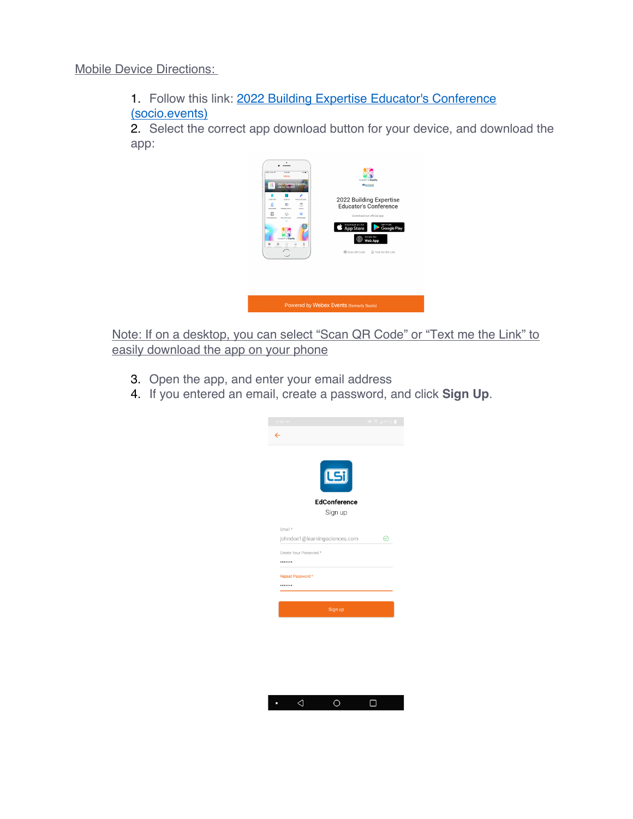1. Follow this link: 2022 Building Expertise Educator's Conference (socio.events)

2. Select the correct app download button for your device, and download the app:



Note: If on a desktop, you can select "Scan QR Code" or "Text me the Link" to easily download the app on your phone

- 3. Open the app, and enter your email address
- 4. If you entered an email, create a password, and click **Sign Up**.